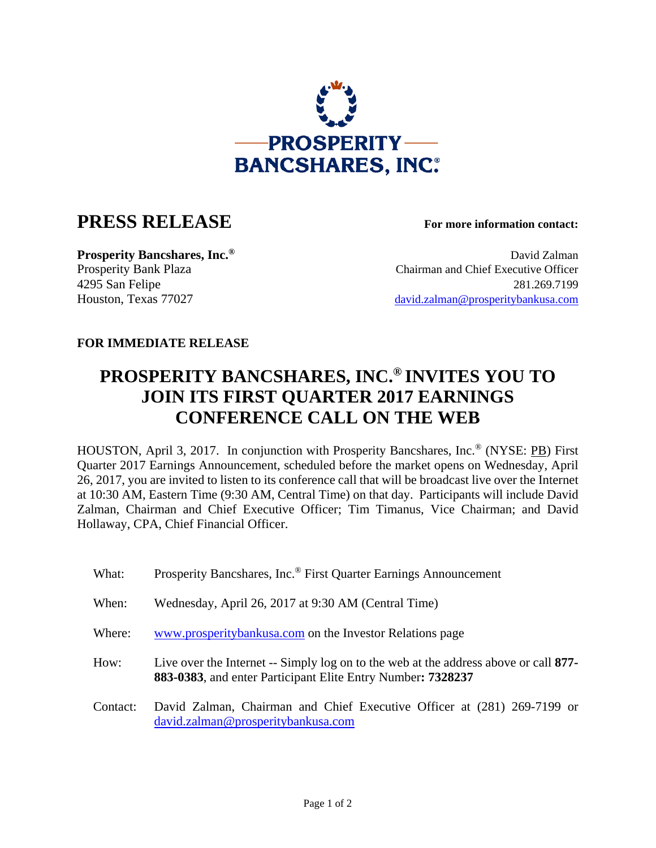

## **PRESS RELEASE For more information contact:**

**Prosperity Bancshares, Inc.<sup>®</sup> David Zalman** Prosperity Bank Plaza Chairman and Chief Executive Officer 4295 San Felipe 281.269.7199 Houston, Texas 77027 david.zalman@prosperitybankusa.com

## **FOR IMMEDIATE RELEASE**

## **PROSPERITY BANCSHARES, INC.® INVITES YOU TO JOIN ITS FIRST QUARTER 2017 EARNINGS CONFERENCE CALL ON THE WEB**

HOUSTON, April 3, 2017. In conjunction with Prosperity Bancshares, Inc.® (NYSE: PB) First Quarter 2017 Earnings Announcement, scheduled before the market opens on Wednesday, April 26, 2017, you are invited to listen to its conference call that will be broadcast live over the Internet at 10:30 AM, Eastern Time (9:30 AM, Central Time) on that day. Participants will include David Zalman, Chairman and Chief Executive Officer; Tim Timanus, Vice Chairman; and David Hollaway, CPA, Chief Financial Officer.

| What:    | Prosperity Bancshares, Inc. <sup>®</sup> First Quarter Earnings Announcement                                                                        |
|----------|-----------------------------------------------------------------------------------------------------------------------------------------------------|
| When:    | Wednesday, April 26, 2017 at 9:30 AM (Central Time)                                                                                                 |
| Where:   | www.prosperitybankusa.com on the Investor Relations page                                                                                            |
| How:     | Live over the Internet -- Simply log on to the web at the address above or call 877-<br>883-0383, and enter Participant Elite Entry Number: 7328237 |
| Contact: | David Zalman, Chairman and Chief Executive Officer at (281) 269-7199 or<br>david.zalman@prosperitybankusa.com                                       |